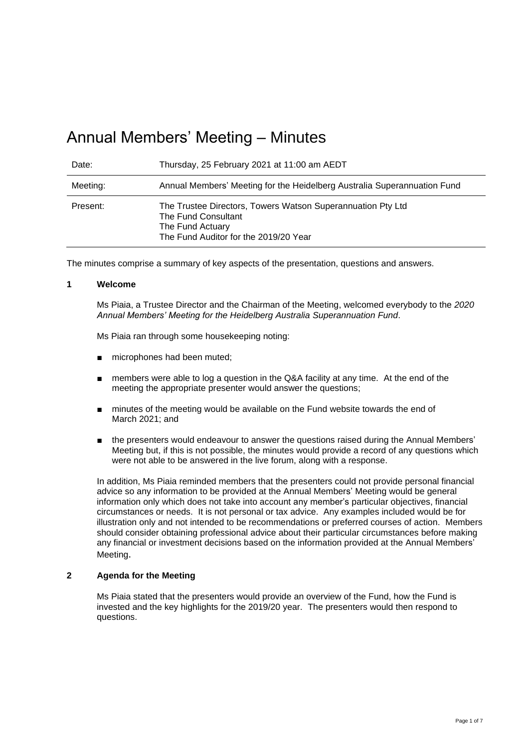# Annual Members' Meeting – Minutes

| Date:    | Thursday, 25 February 2021 at 11:00 am AEDT                                                                                                     |
|----------|-------------------------------------------------------------------------------------------------------------------------------------------------|
| Meeting: | Annual Members' Meeting for the Heidelberg Australia Superannuation Fund                                                                        |
| Present: | The Trustee Directors, Towers Watson Superannuation Pty Ltd<br>The Fund Consultant<br>The Fund Actuary<br>The Fund Auditor for the 2019/20 Year |

The minutes comprise a summary of key aspects of the presentation, questions and answers.

#### **1 Welcome**

Ms Piaia, a Trustee Director and the Chairman of the Meeting, welcomed everybody to the *2020 Annual Members' Meeting for the Heidelberg Australia Superannuation Fund*.

Ms Piaia ran through some housekeeping noting:

- microphones had been muted;
- members were able to log a question in the Q&A facility at any time. At the end of the meeting the appropriate presenter would answer the questions;
- minutes of the meeting would be available on the Fund website towards the end of March 2021; and
- the presenters would endeavour to answer the questions raised during the Annual Members' Meeting but, if this is not possible, the minutes would provide a record of any questions which were not able to be answered in the live forum, along with a response.

In addition, Ms Piaia reminded members that the presenters could not provide personal financial advice so any information to be provided at the Annual Members' Meeting would be general information only which does not take into account any member's particular objectives, financial circumstances or needs. It is not personal or tax advice. Any examples included would be for illustration only and not intended to be recommendations or preferred courses of action. Members should consider obtaining professional advice about their particular circumstances before making any financial or investment decisions based on the information provided at the Annual Members' Meeting.

#### **2 Agenda for the Meeting**

Ms Piaia stated that the presenters would provide an overview of the Fund, how the Fund is invested and the key highlights for the 2019/20 year. The presenters would then respond to questions.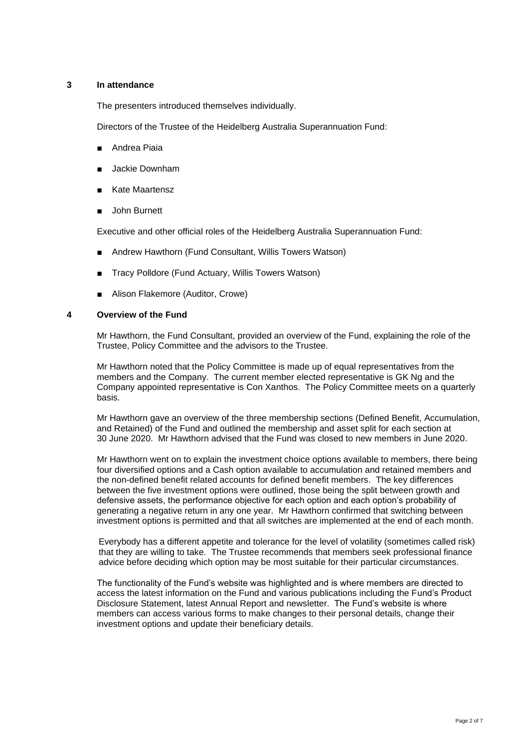## **3 In attendance**

The presenters introduced themselves individually.

Directors of the Trustee of the Heidelberg Australia Superannuation Fund:

- Andrea Piaia
- Jackie Downham
- **Kate Maartensz**
- John Burnett

Executive and other official roles of the Heidelberg Australia Superannuation Fund:

- Andrew Hawthorn (Fund Consultant, Willis Towers Watson)
- Tracy Polldore (Fund Actuary, Willis Towers Watson)
- Alison Flakemore (Auditor, Crowe)

#### **4 Overview of the Fund**

Mr Hawthorn, the Fund Consultant, provided an overview of the Fund, explaining the role of the Trustee, Policy Committee and the advisors to the Trustee.

Mr Hawthorn noted that the Policy Committee is made up of equal representatives from the members and the Company. The current member elected representative is GK Ng and the Company appointed representative is Con Xanthos. The Policy Committee meets on a quarterly basis.

Mr Hawthorn gave an overview of the three membership sections (Defined Benefit, Accumulation, and Retained) of the Fund and outlined the membership and asset split for each section at 30 June 2020. Mr Hawthorn advised that the Fund was closed to new members in June 2020.

Mr Hawthorn went on to explain the investment choice options available to members, there being four diversified options and a Cash option available to accumulation and retained members and the non-defined benefit related accounts for defined benefit members. The key differences between the five investment options were outlined, those being the split between growth and defensive assets, the performance objective for each option and each option's probability of generating a negative return in any one year. Mr Hawthorn confirmed that switching between investment options is permitted and that all switches are implemented at the end of each month.

Everybody has a different appetite and tolerance for the level of volatility (sometimes called risk) that they are willing to take. The Trustee recommends that members seek professional finance advice before deciding which option may be most suitable for their particular circumstances.

The functionality of the Fund's website was highlighted and is where members are directed to access the latest information on the Fund and various publications including the Fund's Product Disclosure Statement, latest Annual Report and newsletter. The Fund's website is where members can access various forms to make changes to their personal details, change their investment options and update their beneficiary details.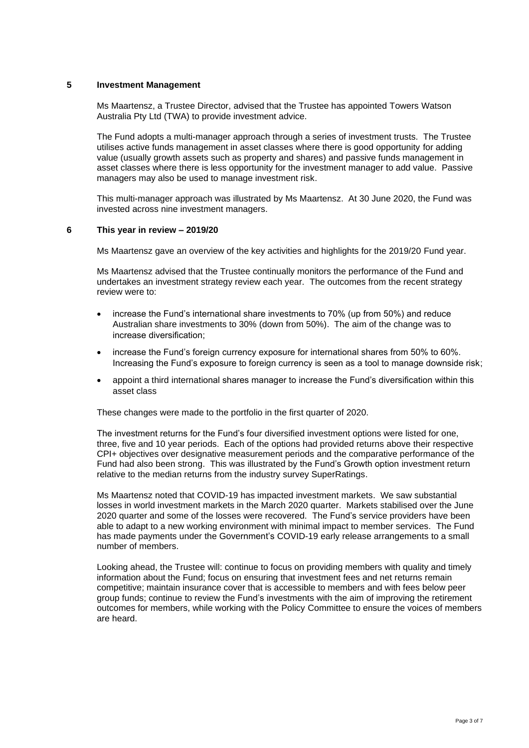## **5 Investment Management**

Ms Maartensz, a Trustee Director, advised that the Trustee has appointed Towers Watson Australia Pty Ltd (TWA) to provide investment advice.

The Fund adopts a multi-manager approach through a series of investment trusts. The Trustee utilises active funds management in asset classes where there is good opportunity for adding value (usually growth assets such as property and shares) and passive funds management in asset classes where there is less opportunity for the investment manager to add value. Passive managers may also be used to manage investment risk.

This multi-manager approach was illustrated by Ms Maartensz. At 30 June 2020, the Fund was invested across nine investment managers.

# **6 This year in review – 2019/20**

Ms Maartensz gave an overview of the key activities and highlights for the 2019/20 Fund year.

Ms Maartensz advised that the Trustee continually monitors the performance of the Fund and undertakes an investment strategy review each year. The outcomes from the recent strategy review were to:

- increase the Fund's international share investments to 70% (up from 50%) and reduce Australian share investments to 30% (down from 50%). The aim of the change was to increase diversification;
- increase the Fund's foreign currency exposure for international shares from 50% to 60%. Increasing the Fund's exposure to foreign currency is seen as a tool to manage downside risk;
- appoint a third international shares manager to increase the Fund's diversification within this asset class

These changes were made to the portfolio in the first quarter of 2020.

The investment returns for the Fund's four diversified investment options were listed for one, three, five and 10 year periods. Each of the options had provided returns above their respective CPI+ objectives over designative measurement periods and the comparative performance of the Fund had also been strong. This was illustrated by the Fund's Growth option investment return relative to the median returns from the industry survey SuperRatings.

Ms Maartensz noted that COVID-19 has impacted investment markets. We saw substantial losses in world investment markets in the March 2020 quarter. Markets stabilised over the June 2020 quarter and some of the losses were recovered. The Fund's service providers have been able to adapt to a new working environment with minimal impact to member services. The Fund has made payments under the Government's COVID-19 early release arrangements to a small number of members.

Looking ahead, the Trustee will: continue to focus on providing members with quality and timely information about the Fund; focus on ensuring that investment fees and net returns remain competitive; maintain insurance cover that is accessible to members and with fees below peer group funds; continue to review the Fund's investments with the aim of improving the retirement outcomes for members, while working with the Policy Committee to ensure the voices of members are heard.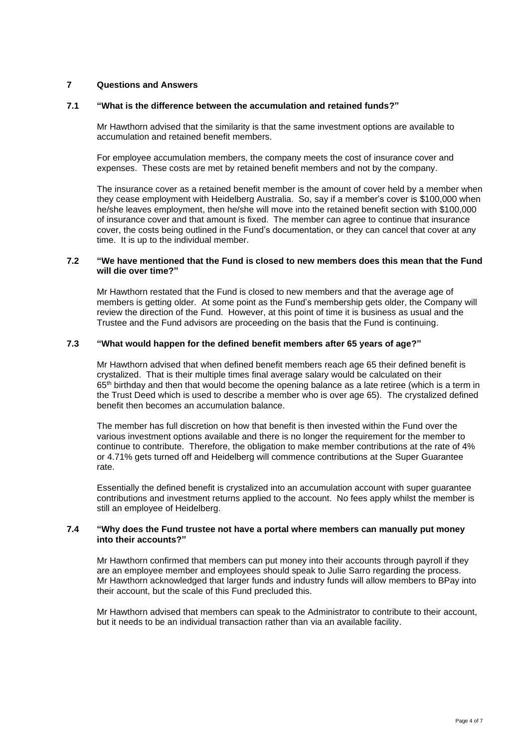# **7 Questions and Answers**

#### **7.1 "What is the difference between the accumulation and retained funds?"**

Mr Hawthorn advised that the similarity is that the same investment options are available to accumulation and retained benefit members.

For employee accumulation members, the company meets the cost of insurance cover and expenses. These costs are met by retained benefit members and not by the company.

The insurance cover as a retained benefit member is the amount of cover held by a member when they cease employment with Heidelberg Australia. So, say if a member's cover is \$100,000 when he/she leaves employment, then he/she will move into the retained benefit section with \$100,000 of insurance cover and that amount is fixed. The member can agree to continue that insurance cover, the costs being outlined in the Fund's documentation, or they can cancel that cover at any time. It is up to the individual member.

## **7.2 "We have mentioned that the Fund is closed to new members does this mean that the Fund will die over time?"**

Mr Hawthorn restated that the Fund is closed to new members and that the average age of members is getting older. At some point as the Fund's membership gets older, the Company will review the direction of the Fund. However, at this point of time it is business as usual and the Trustee and the Fund advisors are proceeding on the basis that the Fund is continuing.

#### **7.3 "What would happen for the defined benefit members after 65 years of age?"**

Mr Hawthorn advised that when defined benefit members reach age 65 their defined benefit is crystalized. That is their multiple times final average salary would be calculated on their  $65<sup>th</sup>$  birthday and then that would become the opening balance as a late retiree (which is a term in the Trust Deed which is used to describe a member who is over age 65). The crystalized defined benefit then becomes an accumulation balance.

The member has full discretion on how that benefit is then invested within the Fund over the various investment options available and there is no longer the requirement for the member to continue to contribute. Therefore, the obligation to make member contributions at the rate of 4% or 4.71% gets turned off and Heidelberg will commence contributions at the Super Guarantee rate.

Essentially the defined benefit is crystalized into an accumulation account with super guarantee contributions and investment returns applied to the account. No fees apply whilst the member is still an employee of Heidelberg.

## **7.4 "Why does the Fund trustee not have a portal where members can manually put money into their accounts?"**

Mr Hawthorn confirmed that members can put money into their accounts through payroll if they are an employee member and employees should speak to Julie Sarro regarding the process. Mr Hawthorn acknowledged that larger funds and industry funds will allow members to BPay into their account, but the scale of this Fund precluded this.

Mr Hawthorn advised that members can speak to the Administrator to contribute to their account, but it needs to be an individual transaction rather than via an available facility.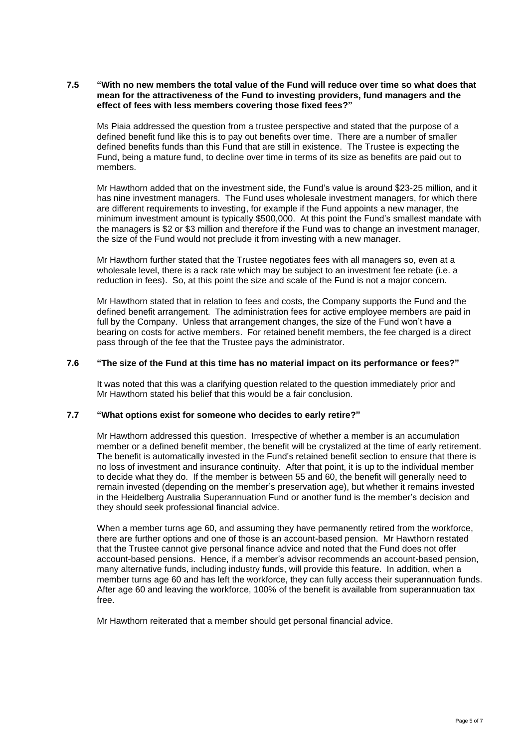#### **7.5 "With no new members the total value of the Fund will reduce over time so what does that mean for the attractiveness of the Fund to investing providers, fund managers and the effect of fees with less members covering those fixed fees?"**

Ms Piaia addressed the question from a trustee perspective and stated that the purpose of a defined benefit fund like this is to pay out benefits over time. There are a number of smaller defined benefits funds than this Fund that are still in existence. The Trustee is expecting the Fund, being a mature fund, to decline over time in terms of its size as benefits are paid out to members.

Mr Hawthorn added that on the investment side, the Fund's value is around \$23-25 million, and it has nine investment managers. The Fund uses wholesale investment managers, for which there are different requirements to investing, for example if the Fund appoints a new manager, the minimum investment amount is typically \$500,000. At this point the Fund's smallest mandate with the managers is \$2 or \$3 million and therefore if the Fund was to change an investment manager, the size of the Fund would not preclude it from investing with a new manager.

Mr Hawthorn further stated that the Trustee negotiates fees with all managers so, even at a wholesale level, there is a rack rate which may be subject to an investment fee rebate (i.e. a reduction in fees). So, at this point the size and scale of the Fund is not a major concern.

Mr Hawthorn stated that in relation to fees and costs, the Company supports the Fund and the defined benefit arrangement. The administration fees for active employee members are paid in full by the Company. Unless that arrangement changes, the size of the Fund won't have a bearing on costs for active members. For retained benefit members, the fee charged is a direct pass through of the fee that the Trustee pays the administrator.

## **7.6 "The size of the Fund at this time has no material impact on its performance or fees?"**

It was noted that this was a clarifying question related to the question immediately prior and Mr Hawthorn stated his belief that this would be a fair conclusion.

# **7.7 "What options exist for someone who decides to early retire?"**

Mr Hawthorn addressed this question. Irrespective of whether a member is an accumulation member or a defined benefit member, the benefit will be crystalized at the time of early retirement. The benefit is automatically invested in the Fund's retained benefit section to ensure that there is no loss of investment and insurance continuity. After that point, it is up to the individual member to decide what they do. If the member is between 55 and 60, the benefit will generally need to remain invested (depending on the member's preservation age), but whether it remains invested in the Heidelberg Australia Superannuation Fund or another fund is the member's decision and they should seek professional financial advice.

When a member turns age 60, and assuming they have permanently retired from the workforce, there are further options and one of those is an account-based pension. Mr Hawthorn restated that the Trustee cannot give personal finance advice and noted that the Fund does not offer account-based pensions. Hence, if a member's advisor recommends an account-based pension, many alternative funds, including industry funds, will provide this feature. In addition, when a member turns age 60 and has left the workforce, they can fully access their superannuation funds. After age 60 and leaving the workforce, 100% of the benefit is available from superannuation tax free.

Mr Hawthorn reiterated that a member should get personal financial advice.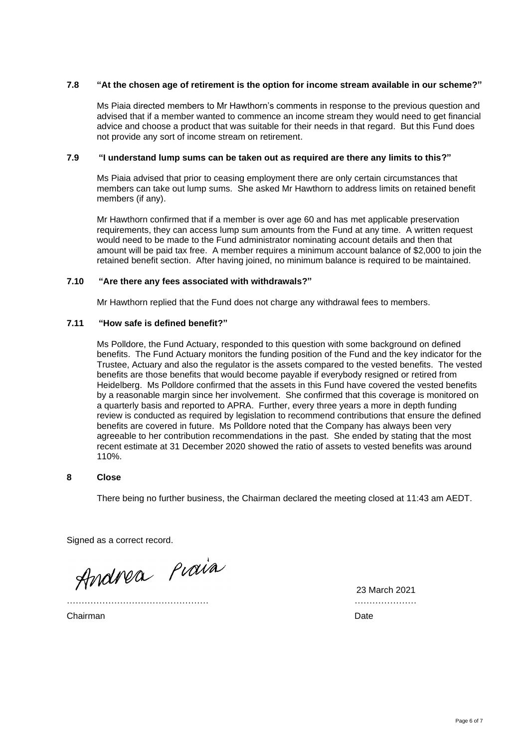# **7.8 "At the chosen age of retirement is the option for income stream available in our scheme?"**

Ms Piaia directed members to Mr Hawthorn's comments in response to the previous question and advised that if a member wanted to commence an income stream they would need to get financial advice and choose a product that was suitable for their needs in that regard. But this Fund does not provide any sort of income stream on retirement.

## **7.9 "I understand lump sums can be taken out as required are there any limits to this?"**

Ms Piaia advised that prior to ceasing employment there are only certain circumstances that members can take out lump sums. She asked Mr Hawthorn to address limits on retained benefit members (if any).

Mr Hawthorn confirmed that if a member is over age 60 and has met applicable preservation requirements, they can access lump sum amounts from the Fund at any time. A written request would need to be made to the Fund administrator nominating account details and then that amount will be paid tax free. A member requires a minimum account balance of \$2,000 to join the retained benefit section. After having joined, no minimum balance is required to be maintained.

#### **7.10 "Are there any fees associated with withdrawals?"**

Mr Hawthorn replied that the Fund does not charge any withdrawal fees to members.

## **7.11 "How safe is defined benefit?"**

Ms Polldore, the Fund Actuary, responded to this question with some background on defined benefits. The Fund Actuary monitors the funding position of the Fund and the key indicator for the Trustee, Actuary and also the regulator is the assets compared to the vested benefits. The vested benefits are those benefits that would become payable if everybody resigned or retired from Heidelberg. Ms Polldore confirmed that the assets in this Fund have covered the vested benefits by a reasonable margin since her involvement. She confirmed that this coverage is monitored on a quarterly basis and reported to APRA. Further, every three years a more in depth funding review is conducted as required by legislation to recommend contributions that ensure the defined benefits are covered in future. Ms Polldore noted that the Company has always been very agreeable to her contribution recommendations in the past. She ended by stating that the most recent estimate at 31 December 2020 showed the ratio of assets to vested benefits was around 110%.

# **8 Close**

There being no further business, the Chairman declared the meeting closed at 11:43 am AEDT.

Signed as a correct record.

Andrea Piaia

Chairman Date **Date of the Chairman** Date of the Chairman Date of the Chairman Date of the Chairman Date of the Chairman Date of the Chairman Date of the Chairman Date of the Chairman Date of the Chairman Date of the Chair

23 March 2021 ………………………………………… …………………